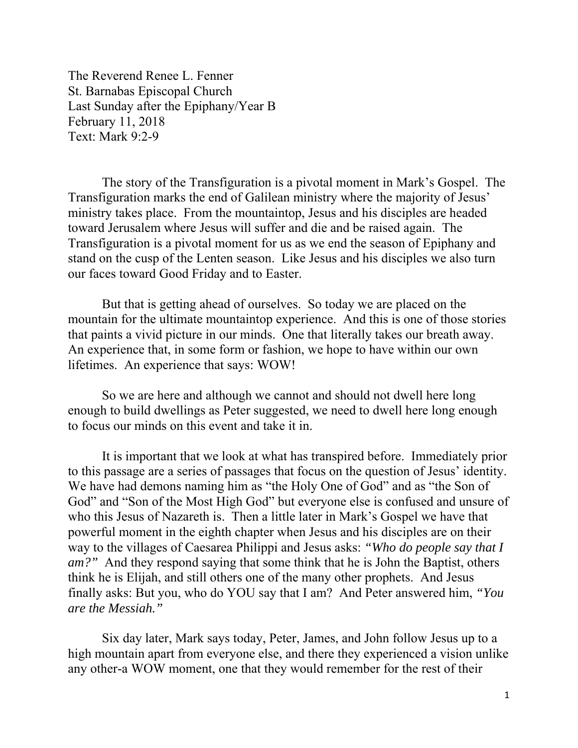The Reverend Renee L. Fenner St. Barnabas Episcopal Church Last Sunday after the Epiphany/Year B February 11, 2018 Text: Mark 9:2-9

 The story of the Transfiguration is a pivotal moment in Mark's Gospel. The Transfiguration marks the end of Galilean ministry where the majority of Jesus' ministry takes place. From the mountaintop, Jesus and his disciples are headed toward Jerusalem where Jesus will suffer and die and be raised again. The Transfiguration is a pivotal moment for us as we end the season of Epiphany and stand on the cusp of the Lenten season. Like Jesus and his disciples we also turn our faces toward Good Friday and to Easter.

 But that is getting ahead of ourselves. So today we are placed on the mountain for the ultimate mountaintop experience. And this is one of those stories that paints a vivid picture in our minds. One that literally takes our breath away. An experience that, in some form or fashion, we hope to have within our own lifetimes. An experience that says: WOW!

 So we are here and although we cannot and should not dwell here long enough to build dwellings as Peter suggested, we need to dwell here long enough to focus our minds on this event and take it in.

 It is important that we look at what has transpired before. Immediately prior to this passage are a series of passages that focus on the question of Jesus' identity. We have had demons naming him as "the Holy One of God" and as "the Son of God" and "Son of the Most High God" but everyone else is confused and unsure of who this Jesus of Nazareth is. Then a little later in Mark's Gospel we have that powerful moment in the eighth chapter when Jesus and his disciples are on their way to the villages of Caesarea Philippi and Jesus asks: *"Who do people say that I am?"* And they respond saying that some think that he is John the Baptist, others think he is Elijah, and still others one of the many other prophets. And Jesus finally asks: But you, who do YOU say that I am? And Peter answered him, *"You are the Messiah."* 

Six day later, Mark says today, Peter, James, and John follow Jesus up to a high mountain apart from everyone else, and there they experienced a vision unlike any other-a WOW moment, one that they would remember for the rest of their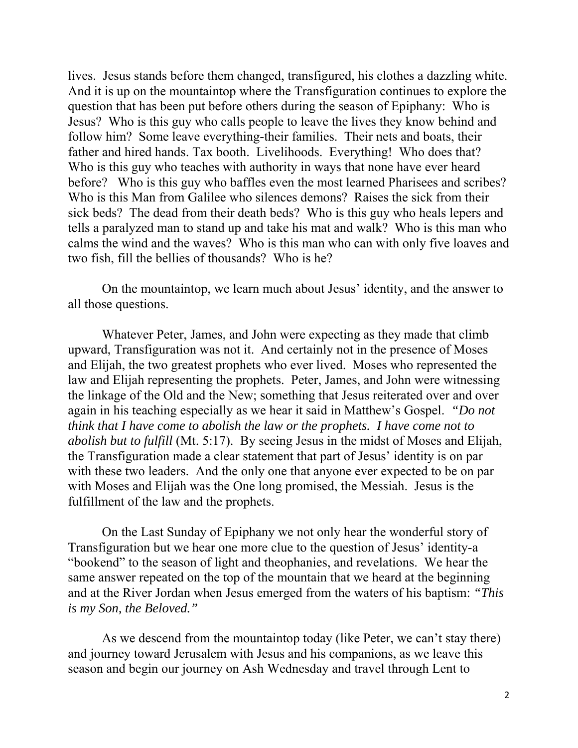lives. Jesus stands before them changed, transfigured, his clothes a dazzling white. And it is up on the mountaintop where the Transfiguration continues to explore the question that has been put before others during the season of Epiphany: Who is Jesus? Who is this guy who calls people to leave the lives they know behind and follow him? Some leave everything-their families. Their nets and boats, their father and hired hands. Tax booth. Livelihoods. Everything! Who does that? Who is this guy who teaches with authority in ways that none have ever heard before? Who is this guy who baffles even the most learned Pharisees and scribes? Who is this Man from Galilee who silences demons? Raises the sick from their sick beds? The dead from their death beds? Who is this guy who heals lepers and tells a paralyzed man to stand up and take his mat and walk? Who is this man who calms the wind and the waves? Who is this man who can with only five loaves and two fish, fill the bellies of thousands? Who is he?

 On the mountaintop, we learn much about Jesus' identity, and the answer to all those questions.

 Whatever Peter, James, and John were expecting as they made that climb upward, Transfiguration was not it. And certainly not in the presence of Moses and Elijah, the two greatest prophets who ever lived. Moses who represented the law and Elijah representing the prophets. Peter, James, and John were witnessing the linkage of the Old and the New; something that Jesus reiterated over and over again in his teaching especially as we hear it said in Matthew's Gospel. *"Do not think that I have come to abolish the law or the prophets. I have come not to abolish but to fulfill* (Mt. 5:17). By seeing Jesus in the midst of Moses and Elijah, the Transfiguration made a clear statement that part of Jesus' identity is on par with these two leaders. And the only one that anyone ever expected to be on par with Moses and Elijah was the One long promised, the Messiah. Jesus is the fulfillment of the law and the prophets.

 On the Last Sunday of Epiphany we not only hear the wonderful story of Transfiguration but we hear one more clue to the question of Jesus' identity-a "bookend" to the season of light and theophanies, and revelations. We hear the same answer repeated on the top of the mountain that we heard at the beginning and at the River Jordan when Jesus emerged from the waters of his baptism: *"This is my Son, the Beloved."* 

As we descend from the mountaintop today (like Peter, we can't stay there) and journey toward Jerusalem with Jesus and his companions, as we leave this season and begin our journey on Ash Wednesday and travel through Lent to